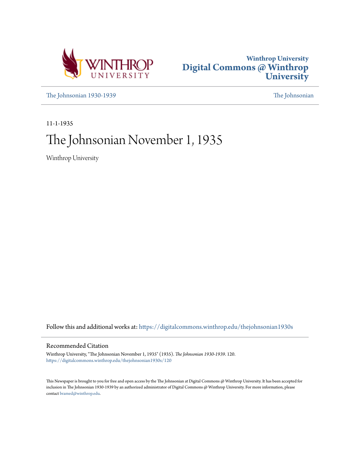



[The Johnsonian 1930-1939](https://digitalcommons.winthrop.edu/thejohnsonian1930s?utm_source=digitalcommons.winthrop.edu%2Fthejohnsonian1930s%2F120&utm_medium=PDF&utm_campaign=PDFCoverPages) [The Johnsonian](https://digitalcommons.winthrop.edu/thejohnsonian_newspaper?utm_source=digitalcommons.winthrop.edu%2Fthejohnsonian1930s%2F120&utm_medium=PDF&utm_campaign=PDFCoverPages)

11-1-1935

# The Johnsonian November 1, 1935

Winthrop University

Follow this and additional works at: [https://digitalcommons.winthrop.edu/thejohnsonian1930s](https://digitalcommons.winthrop.edu/thejohnsonian1930s?utm_source=digitalcommons.winthrop.edu%2Fthejohnsonian1930s%2F120&utm_medium=PDF&utm_campaign=PDFCoverPages)

### Recommended Citation

Winthrop University, "The Johnsonian November 1, 1935" (1935). *The Johnsonian 1930-1939*. 120. [https://digitalcommons.winthrop.edu/thejohnsonian1930s/120](https://digitalcommons.winthrop.edu/thejohnsonian1930s/120?utm_source=digitalcommons.winthrop.edu%2Fthejohnsonian1930s%2F120&utm_medium=PDF&utm_campaign=PDFCoverPages)

This Newspaper is brought to you for free and open access by the The Johnsonian at Digital Commons @ Winthrop University. It has been accepted for inclusion in The Johnsonian 1930-1939 by an authorized administrator of Digital Commons @ Winthrop University. For more information, please contact [bramed@winthrop.edu](mailto:bramed@winthrop.edu).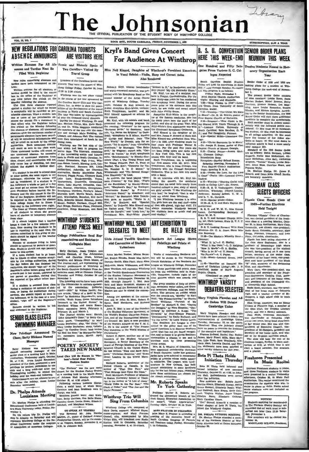## Library The Johnsonian FEICIAL PURLICATION OF THE STUDENT DOOM OF

E BILL GOTTE CAROLINA PRINAR MOTHERS 1 1000

### CRIPTION, SLO A YEAR

REUNION THIS WEEK

Twelve Students Nomed to West

orary Organization Past

 $\mathbf{v}$ .

making plans for a music of me

tor Order of 1935 and 1936 are

**FIFCTS OFFICERS** 

Flossie Claus Heads Class of

one Ciaso ricaus Cuano<br>1939 Further Elections **Held Tenight** 

Thomas Hillspolar Claus of Charles

### **NEW REGULATIONS FOR CAROLINA TOURISTS ABSENCE ANNOUNCED ARE VISITORS HERE** Written Excuses For All Ab-Scenic and Historic Spots of

nces and Tardies Must Be Filed With Registrar

VOL. 12, NO. 7

### ning ab

rules concerning absences and<br>thave been announced as fol-Luwa:

hows:<br>When excuses for all absences or threp College Priday, October 25, from<br>tardies abould be filed in the excuse 12:30 to 2:30 o'clock.<br>host in the office of the Registrar at Winthrop was the last place visited

hacking about the fitte that the excellence is the counter to the Result and the most in the other of the Result and the fitter care of the form of the counter of the care of the care of the care of the care of the care o

new of abscuce to weapon that a teacher<br>rem class.<br>If it about an poen that a teacher<br>arge a class for a few minutes over-<br>ma, thus causing the students to be<br>too in reporting to the next class, the<br>counter stould to digne

Petty Hickson was unanimously<br>elected swimming manager of the scale class at a meeting held in Main<br>Audiorium, Wednesday algebra. A class Armound Main Main Main Main<br>So, at  $\ell$  5.3. Anna Louis Renetter, permission to use after the "The Primans" was the movement<br>plowing. at a meeting held in the Music Room<br>plowing. at a meeting held in the Music Room<br>wed to use of Johnson Hall Morrisy afternoon<br>na Louise October 28, at 4:30 o'clock.

## Dr. Phelps Attends

LOUISIANA Meeting tharge, was held.<br>
Dr. Shelton Pheips is attending the caroline crues are reserved and the Caroline Crues and the Caroline Crues and the Caroline Crues is a belle Ristes.<br>
Educational Conference held at L

turn trip Dr. Phelps will The Reverend Mr. John Hardie<br>his on Bakurday and will Marton, Jr. paster of Cakland Avenue<br>Inhero College at the Re- Presbyterian Church, will be the speak<br>renoe under the austpless or at vesters, On his ret top in A nt Wint al Co

Two Carolings Visited By **Travel Group** 

Members of the Carolinas Scenic an Historic Tour were the guests of Win-

the office of the requerer at the in the course of the tour sponsored by

**WINTHROP STUDENTS** 

Local Cive Will Be Known As "Pless<br>
iams"-Social Honr Follows<br>
Business Session

"The Pierians" was the new

Following various business<br>slons. a social hour, of which

se discus

un were in

wember 3, at Station

Winthrop Trio Will

throp College trio, compo

winning Couege tro, composed of<br>Mary Davis, coprano; Mildred Hayes,<br>mezzo-soprano; and Mary Frances<br>Gosnell, alto, accompande by Miss<br>Vivian Ellis, will broadcast over Radio<br>Station WIS in Columbia, Saturday

nd ol

**ATTEND PRESS MEET** 

### **Kryl's Band Gives Concert** HERE THIS WEEK-FND For Audience At Winthrop Miss Nell Kinard, Daughter of Winthrop's President Emerity

is Vocal Soloist-Violin, Harp and Cornet Solos Also Rendered

Bohun.ly Kryl, veteran bandmaster "Menuet in G," by Boethoven; and Mr.<br>and world-renowned corneliat, was pre-<br> $Kryl$  played "Ary old Kentucky Home."<br>sented with his Bymphony Band as the bar. Kryl, i.e. son of a sculptor, w scars at Wilhibrop College, Tuesday (this symphony band, During the has considered 20, Nell Kinard, ac- pears prior to his entire to his primary beams, the prior of the prior of the prior of the prior of the prior of the

Ruin Templeman, harpitti; and Mr. with John Frillip Source.<br>
In Kryl himself appeared as soloints for  $\frac{1}{\sqrt{2}}$  onephine Kryl-White is the daught-<br>
Iteratoret. Since the form of the form our control form is the control

*DELEGATES TO MEET* 

**PENS** 

WINTHROP WILL SEND ART EXHIBITION TO **BE HELD HERE** 

More consisted by the average of the proposition and Sattlet Motel Convention  $\sim$  and Convention  $\sim$  and Convention  $\sim$  and Convention  $\sim$  and Convention  $\sim$  and Convention  $\sim$  and Convention  $\sim$  and Convention  $\sim$ 

pursample artista.<br>
Mrs. M. S. Whaley, of Columbia, has been appointed membership chairman is<br>
incen appointed membership chairman in the guidance of Bouth Carolina<br>
I artista de grounds whose weeks approximated and ground

ment."<br>
Richard Roberts, Moderator of the Richard Roberts, Moderator of That One Pace." and the rather "That Strunge Man Upon His Cross."<br>
"That Strunge Man Upon His Cross."<br>
Basil Matthews, Professor of Mhasions "That Bitange Man Upon His Cross."<br>Basil Matthews, Professor of Missions in Sorion University School of Theology, is the author of "A Life of Jesus."<br>"World Tides in the Par East." "The Part Class of Color," and "The Jess

## Mr. Roberts Speaks<br>To York Gathering

Prufessor Walter B. Roberts ad-<br>ressed the elementary branch of the dressed the elementary branch of the<br>fork County Education Association on<br>the ambient, "Music Appreciation,"<br>Tuesday night, October 29, in York, Sing From Columbia

MISS FRAYSER IN COLUMNIA

One Hundred and Mfty Delaextes From Variana S.C. Col. leges Proseted

**B. S. II. CONVENTION SENIOR ORDER PLANS** 

Sendor Order of 1935 and 1938 are the<br>simulating plana (neumeron at Winney College the week-end of November 1. Louis Bream<br>The present Sendor Order consists of the present Sendor Order discussions, Mathel Brown, David Mat : Studen<br>- In Book

 $\begin{minipage}{0.9\textwidth} \begin{tabular}{l} \textbf{c-ccted} \\ \textbf{outth} & \textbf{Cactual} & \textbf{Baplet} & \textbf{S} \\ \textbf{U} \\ \textbf{H} \\ \textbf{H} \\ \textbf{H} \\ \textbf{H} \\ \textbf{H} \\ \textbf{H} \\ \textbf{H} \\ \textbf{H} \\ \textbf{H} \\ \textbf{H} \\ \textbf{H} \\ \textbf{H} \\ \textbf{H} \\ \textbf{H} \\ \textbf{H} \\ \textbf{H} \\ \textbf{H} \\ \textbf{H} \\ \textbf{H} \\ \textbf{H} \\ \textbf{H} \\ \text$ 

a.<br>230—Special Multio--Limentone Con-<br>2313—"Christ Saumonas Us to Shave<br>--Dr. Joseph P. Rome, packer of First<br>Daptist Church of Macon, Occupying the Constant Christ<br>By: Crement Christ<br>Proper--Austen Schell, Property<br>Recept

eading.<br>9:15-Worship-

(eading.<br>
9:15—Worshlp—"Sharing Christ with<br>
201th in College Life"—Dr. Reaves.<br>
9:25—B. B. U. Techniqques: Council<br>
Activities, Winthrop; Church Loyalty<br>
Anderson; Suntay School, Y. W. A. **FRESHMAN CLASS** 

Allucraeti, increase ...  $\sim$ ng B. 1, U., Carouna.<br>10:15—Special Music—Coker.<br>10:20—B. S. U. and State Bantist Cr-

anizations:<br>B. R. D. and W. M. U. Miss Vonni

Lance, Corresponding Secretary<br>State W. M. U. State W. M. U.<br>B. B. U. and Summer Church Activ. in Mr Chels Lancon State W W H II

ield worker.<br>B. S. U. Looking Forward With State<br>Missions-.Dr. C. A. .fones. State Mis-

Florence "Flossle" Claus of Charles-<br>tom, was elected preddent of the fresh-<br>man class at a meeting Monday, October 28. In Main Auditoriem, Mary Carp.<br>Oreenville, was chosen wise-president;<br>Sadie Scott, Columbia, sceretar ion Secretary.<br>ion Secretary.<br>11:08—The Master's Minority Hour-Overge, Forenten, treatment of the State Press, Forentes, Figs. has been acting chairman of the state is a state of Memminger high where the state with the chair where the state of Memminger high where been between between

emson:<br>"What It Is."—J. C. Shelley.

"What It Is."—J. C. Shelley,<br>"Now It Was Done,"—L. D. Malphus.<br>"How It Works"—D. A. Shelley,<br>"Who Is In R"—J. T. Norris.<br>"Its Puture"—A. C. Payne.<br>11:35—Muzic—Leonard Green, lead-

11:45 "Becrifies on Penertial the 11:43--"Sacrifice an Exemital Ele-<br>ment of Christian Living"--Mr. J. P.<br>Sheffield, pastor of North Augusta<br>Espitz, Church.<br>Continued on page four)

### **WINTHROP VARSITY DEBATERS SELECTED**

Mary Virginia Plowden and Addie Stokes Will Debate **Cambridge Union** 

here Vissinia Blooden and Addi carry virginial Phowder and Addie Western and Addie Western acted to delay two computers of care accept the state of the control and leader about the law of the control of the control of the control of the state in the st

## Initiation Thursday

Beta Pi Theia held informal and<br>formal initiation of new members<br>Thursday, October 31. at 4:30, in John-<br>son Hall. Rafreahments were served

Thursday, we<br>see the inflatton.<br>Some Fall, Rafreshments were served after the inflatton.<br>
Mer members are: Bobble James, Mattie Green Steven, Elizabeth Stoney, Hattie Green Steven, Elizabeth Tester, Windman, Vignalinan, Vi

MIN FIGURE IN COLUMBIA<br>
MIN MAPY E. FRYSE'S AUGURE OF THE SERVE ATTENDS MEETING<br>
INTERVALUE INTERVALUE AND SERVE IN A SERVE AND STRAIN TO SUPPOSE A BOOTH IN THE SUPPOSE INTERVALUE INTERVALUE IN<br>
1 July 1784-1987 STRAIN (NO

France we was year. such the SER and Vice-<br>president of Extensive Council, vice-<br>president of EU-Burgers, president and<br>exceptary of her home room, and what<br>me of the 40-point scaling the speed of the depoted of the countr

Ciub, and cheerleader. we ownuming<br>Ning Nary Cive, the predicated letch, we are predicated by president and secretary of leb Prezident<br>nam-Sophoneve Cooling Ciub, secretary and president of the Tommer food<br>in the Prezident

oupers, a main sexual true to tend<br>a damente, a mais como tendo de la contrato Clinical Clinical Clinical Clinical Clinical Clinical Society, and was a library analisant.<br>
Jean Filam, freshmann checkededer, was cheering th

#### Freshmen Presented In Music Recital

The anti-matter and the state of the state of the state of the state of the state of the state of the state of the state of the state of the state of the state of the state of the state of the state of the state of the sta

**MORRANT** 

 $\begin{tabular}{p{0.875\textwidth}} \hline & \multicolumn{2}{c}{\textbf{NOTG}} \\ \hline \textbf{Students} \textbf{aplog} \textbf{f} \\ \textbf{in} \textbf{The Herians (Poetry Society) are  
remized that at work must be submitted not later (A  
a 12:30 Jatz-  
M230 Jatz-  
NPer members a will be elected No-$ 

 $1474$ mber 15.<br>MADYLAND WILSON Boards

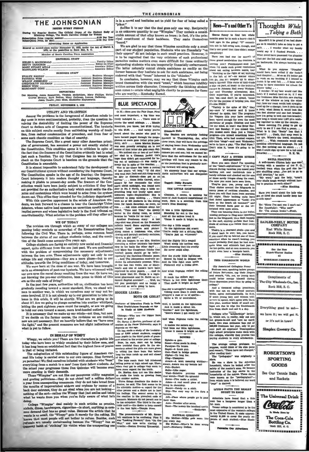### THE JOHNSONIAN

### THE JOHNSONIAN

the Regular Session The Official Organ of the Sti<br>Winthrop College, The South Carolina College for We<br>Andrew College, The South Carolina College for We tion Price (regular

| Advertising Rates on Application                                                                                        |
|-------------------------------------------------------------------------------------------------------------------------|
| Entered as recond-clars matter November 21, 1923, under the Act of March<br>1879, at the postoffice in Rock Hill, S. C. |
| Member of South Carolina Prezs Association                                                                              |
| <b>EDITORIAL STAFF</b>                                                                                                  |
|                                                                                                                         |
| <b>BUSINESS STAFF</b>                                                                                                   |
| <b>GWENDOLYN COLEMAN</b> Assistant Business Manage<br>Circuistion Manager<br>MARCABET COMP                              |

**PEROPTER** le Rosenblum,<br>rt, Ruth Beth<br>: Teague, Jean emblum, Virginia McKetthen, Mary Phillips, Hath<br>th Bethes, Mary Callman, Lorens Calloway,<br>uc, Jean Moss, Madeleine Haynsworth

FRIDAY, NOVEMBER 1, 1935

#### **UTILITY AND TRADITION**

Among the problems in the foreground of American minds to-<br>day none is more sentimentalized, probably, than the question in-<br>volving the desirability of limiting the power of the Supreme<br>Court to declare acts of Congress u Court to declare acts of Congress unconstitutions. The nysterns on this subject results mostly from painting worship of tradition, from radical condemnation of precedent, and from fear of some such chactic condition as tha

Supreme Court, like a great many other American princi-The Supreme Court, like a great many other American princi-<br>ples of government, has assumed a power not exactly stated in<br>the Constitution. This condition opens it to criticism in spite of<br>the fact that the framers of the just such a function. The ery that Congress has no weapon of check on the Supreme Court is baseless on the grounds that the<br>Constitution is amendable.

It is almost impossible to understand fully the development of our Constitutional system without considering the Supreme Court our Constitution speaks in the age of its framing; the Supreme<br>Court interprets it into modern thought and language, thereby<br>making it pliable to present day near the speak of the Court interprets<br>stillar prime states and not provided for an authoritative body which could settle the disputes and contentions which were bound to arise from the system<br>drawn out. This office they intended for the judiciary department

With this question uppermost in the minds of American students, we look forward to a chance to bear the Cambridge Union debaters, whose native land sponsors an unwritten constitution of implied powers and whose legislative body is the final tribunal on onality. What solution to the problem will they offer us?

#### WE OF TODAY

The revision era through which so many of our colleges are<br>ssing today reminds us somewhat of the Reconstruction Days following the Civil War. There is, perhaps, some common bond<br>hetween the status of our college students today, and the condition of the South some seventy-five years ago.

College students are facing an entirely new social and financial<br>College students are facing an entirely new social and financial<br>bect, quite different from the one just past. We are confronted with the problem of compromising the necessary adjustments<br>between the two eras. These adjustments apply not only to our ge life and regulations-they are a mere phase-but to our attitudes towards the living conditions of today, and tomorrow

We were born at the close of one war. We have been brought<br>up in an atmosphere of post-war hysteria. We have witnessed with our own eyes the moral decay resulting from the war. Or have we, wing the pre-war civilization, been prone to think of this not kn ern as the only code of living?

era as the only code or uving:<br>In the past few years, authorities tell us, civilization has been<br>gradually receding toward a saner standard. Now, we stand witnecs to another war, in which we ourselves may or may not be come involved. If it is not already up to our generation to take the<br>issue in this crisis, it will be shortly. What are we going to do about it! Are we going to plunge ourselves into another whirlpool,<br>letting the past eighteen years count for naught, or are we going to hold our own toward a saner, more level-headed outlook?

It is necessary that we make up our minds-not then, but now<br>If is necessary that we make up our minds-not then, but now<br>If we decide on the former course, the revisions we are making now are not necessary. But we heartily helieve that we "have seen<br>the light." and the present measures are but slight indications of t is yet to folk

#### IN BEHALF OF WIMPY

Wimpy, we salute you! There are few characters in public life<br>today who have been so widely emulated by their fellow men, and it has long been an established fact that the highest form of praise<br>is that of being imitated.

The eukogization of this outstanding figure of American cur The enterpretation of this outstanding ligure of American current life today is carried even to our own campus. Step forward, ye parasites! We find ourselves infested with students who "bum" everything from a match to a meal from their fellow students. As the school year progresses these Don Quixotes will become even more exacting in their demands.

These "Wimples" are not like our pompuous utility magnates<br>and grating politicians—they do not chied half a million dollars<br>a year from unsuspecting consumers, they do not the n year from unauspecting consumers, they do not take bread from<br>the mouths of impoveriahed widows and orphans by means of a the mouths of impoverance when we are oppleased to the solid black door entrance, they do not a not looking-<br>nothing of the sort--rather the Wimpy that just smiles and takes<br>what he wants from you when you're fully aware o nothing of the sort-

College "Wimples" deal mainly in such articles as pennies, College "wimmper" casal manny in such arricles as pennes, indeed, dimes, hashingers, eigenveltes—in about, mything in com-<br>mon demand that has no great value. Because the article that he<br>wants is so small, the "Wimpy" gets

is in a consul and hositates not to viold for form of heims collect a

Suffice it to say that the deal goes only one way. Reciprocity San unknown quantity to our "Wimples." They contain a consideration is an unknown quantity to our "Wimples." They contain a consideration crable amount of that alloy known as brass; in fact, it's the principal constituent

www.<br>We are glad to say that these Wimpies constitute only a small our are given by that these wimples constitute only a small<br>part of our student population. Students who are financially "on<br>their uppers" do not indulge in such small practices. However, it

is to be regretted that the very existence of such professio is to be regretted that the very existence or such professional<br>parasites makes matters even more difficult for those ordinarily parameters maskes matters over more arrivant for those ordinarity<br>intensied in the state of the state of the parameter of the latter naturally cannot obtain assistance as readily as the former because they hesitate to ask for such assistance, not being endowed with that "brass" inherent to the "chiseler."

endowed with that "prass" inherent to the "chiseler,"<br>In conclusion, however, may we say that these Wimpics each<br>brand themselves with the word "small," which becomes indelibly<br>written across their character. Consequently oon comes to retain what negligible charity he possesses for those who are worthy.—Kentucky Kernel.

#### **BLUE SPECTATOR**

O. K .- Here goes the Pair Dope. Piret nd most important, a blg time we reely indulged in. . . . There were of ne the usual mi Kendrick, you know, lost \$7.00 tryin to win \$5.00. . . . And surely you've<br>heard about the senior who paid to

win \$5.00. . . . And surely you've using the same of about the sender when paid to be sender the sender and many any sender in the sender of the sender of the sender of the sender of the sender of the sender of the sender

or and Title," the speed of the distinct property of the speed state is the "walded for the model".<br>
nother Preshman story: A list of the speed of the speed of the speed of<br>
the speed of the speed of the Speed of Title in

o-h, a girl lost!" Co-h, a girl lost!"...<br>Did you happen to see Mrs. Brancouting a rather intricate tap-d<br>tep in the balls the other day? Mary Sus Caugh nan thinks th ball games should go by bellsand The Johnsonian modestly as ins its editorialistic prowess. With-"s and one of Annie's have be is and one of Annie's may been<br>inted in other papers....And do any peca answer some art, Financis is a regis-<br>: pharmacist and Dr. Keith an or-<br>rd Baptist minister? , , , Well. we tered pharmacist and Dr. Kelth an or-<br>dained Baptist minister? . . . Well, we<br>bid you goodnight and as happy a

**BICCPD LIADS ROVS OR GIRLS?** 

or of Education Finds That Truthfulness Depends on Age<br>In Study of 5,000 Students

-Who are the bigger it Chicago.—Who are the bigger lian<br>boys or girls?<br>Dr. Byrne J. Horion, professor of ed-<br>cation at De Pauw University, says i

cation at the Pause University, any: it<br>generals on the negation and the negative conditions and the function<br>and the hast mass and the state of a grammar and the bland gradient<br>parameters of a Boye condition of the pair o ing lies than boys<br>le boys catch up a

In the spiritual way and mill sheets of the given the spiritual form of the given stach up and mill sheets of the given rate high school spiritual proper at high school spiritual with the spiritual with the spiritual way

The prop ents of Mr. R The pronouncements of Mr. Roose-<br>reli continue to be confusing. First it<br>was "Looking Forward," then "Ou Our<br>Way," and now we're ataring to



samva vire p

 $1.34$  $\blacksquare$  $\overline{a}$  are  $\overline{a}$ 

you missed more than just a Vesper program-you missed something beau-<br>tiful. Then, we've had musical vespers,<br>old-time "sings"--and next Wednesday<br>we've to have a play, "The Fied Fipsr."<br>Don't miss it, 'cause it's going to preced to Thankeedshe for after e years, they will have the privilege of staving home from Wedn liteu vaba Sunday. Of course, there are always<br>Sunday. Of course, there are always  $rac{1}{2}$ leve that the enthusiasm for the said r caser pray a greenen preponneve that the entriumatin for the said<br>privilege will have any reason to die,<br>or the pendulum that is gradually mov-

ing forward will emine book ng iorward will swing back.<br>We alnosrely hope that our sympe<br>hetic authorities will not disensed:

Tagged: Diddy Burns

THE LITTLE LIGHTHOUSE

I CAPT PLAY A ZITHER ETIREE IN A STATISTIC REFERENCE INTO THE ANNEX POUR SERVE THE SPACE COMPARED ON the "PRODUCT CAPT CONTINUES (SERVER THE SPACE IN THE SPACE INTERNATIONAL CONTINUES INTO THE THE SPACE THAN THE THE SPACE  $(9)$ from this

ne day a little seaguli<br>To the lighthouse did and

And the filshty litt's seam

The momen could after

250wru na nead in uce<br>And its little Holt once Pilckered with a feeble slow.

And when Nantuna posted the

Where is the little lighth That made it bright as day?

One day a somegler's seapler Taking moone than it could stand realing more train it could a

and when Neptune sodes the

free from chalk and call it a dry.<br>Colleges offer "scholarships" lavish-<br>By, which are, in reality, only out and<br>but grantis-la-aid and have no meriture based and the basis. One prane estimates that out of<br>canonic propose . . **Totatle** gun.<br>10 mada in slaan Renon M The average college profes Benor-Wolse made h<br>Paralyze-To louses.<br>Sapid-A dumb guy.<br>Cod-Used in brides uppese, would think of his slim purse<br>nd remark, "Times have not changed,"<br>fter reading that:<br>The "pedagoguo" was originally a  $rac{1}{2}$ www.ma.us.engu The "pedagogue" was originally a Theory of the Athenian header of the Athenian header and the model of the matter is more interested for the boundary of the model in the "packagogian"-boundary of the boundary of the model ≂ or Timenler  $\frac{1}{4}$ ware. Aware can my hone  $\overline{a}$ Pell-Bucket Suite-Like sugar.<br>Wad-Relative pr at which -Wad? No spinach? Scene<br>Adam ne-Pive make a nickel A real small place of a hing in chemistry. 8 Candy on a stick Soccer-Candy on a silek.<br>Slip-Tue easy way to live thru ecture. .<br>Place where needs zo to now Jellseir time.<br>Aate-Nu .<br>mber after sex at man.<br>Vassar college is considered to be the The money the landi  $$ vasar college is considered to be the<br>most expensive of the women's colleges<br>in the United Staces. It costs approximately \$1,250 to cover the yearly ex-<br>penses of each student.—Blue Stock-<br>ing.

**NATURAL QUESTION** er-Willie successors the

rry Indi



onths gone by in such a hurry-but it Wouldn't it he prand if we had show took ages in the going! "X" commit-<br>tees are in full swing now, though, and wouldn't it be grand if we had show-<br>ers so it wouldn't take so long to get a<br>bath..... I wonder what my family that's one need that time didn't conne

senior c . . a wounter whist; in would say it a signace steath, . . .<br>What could have possessed the plumber Have you had one (or morel) of wint could have possessed the plumber hose swand sandwiches the Content in on harkwards I'm showns buming no  $\sim$ 

those grand and<br>within the Canteen is certing now? Priodicate-and just<br>when I'd made such grand resolutions about not enting to<br>the right of us, it is considered to the right of us, it is<br>considered to the right of us; it<br> self.<br>What do you suppose "Dimples"<br>would have been called if the badult

"Entiting to the right of us; knitting would have been called if the haft<br>at to the right of us; knitting would have been called if the haft<br>at tyou go, you go, you go, the first of the right of the right of the<br>star pair supercontribute the property of the state of the second spectrum of the second term of a percent of the second term of the second term of the second term of the second term of the second term of the second term of the spe

### turday....

- met and

....

10ve.<br>Their's is a charmed circle—you :<br>stand hack in awe: hut, you kr

Theirs is a charmed circle--you and<br>I stand back in awe; but, you know,<br>If you could slip up behind one of them<br>sometime when he wasn't looking, you<br>would probably find that he had most<br>quid bites and athlete's foot just a

nas superces in

might even hear a bourgois belch.

THIS COLLEGIATE WORLD

 $\overbrace{D}$  Accordated Culturation Thursd

(By Associated Collegiate Press)<br>
Enshmess men, speaking before groups<br>
of future Rot-xiana, tap their fingers<br>
and remark, "Ah, yes, no young man<br>
could better occupy himself during<br>
these depression years than by going

LITTLE FACTS YOU REALLY

**ODORY TO KNOR** 

Scientists have found that a thin

the chair and

 $\sim$ 

SKULL PRACTICE SKULL PRACTICE<br>A well-known Clinton lady was con-<br>versing with a member of the P. G.<br>football team when the grid star be- $\Delta = 1$ can shuffling away. Two got to go to

gan shuffling away. ...Twe got to go to<br>"hiy word," said.<br>"hiy word," said the lady, "aren't<br>your skulls tough enough without havnur acqua tough ennugh whit cu other?"<br>\_Wine\_Steeld==

Were you haven't should the lady who nave you near about the may who or an recense

The Officer True and car 7 and not 1 

SADLER-NEELY MOTOR East White Street **COLOR** service and the company of the

**See the N** t.Warner R "∷ **WORKMAN, CREEVE CO. BONJERSPERSONNELLE** 

| Business men, speaking before groups<br>of future Rotarians, tap their fingers  |                                                            |
|---------------------------------------------------------------------------------|------------------------------------------------------------|
| and remark, "Ah, yes, no young man                                              | Compliments of                                             |
| could better occupy himself during                                              |                                                            |
| these depression years than by going to                                         | The City Wholesale Co., Inc.                               |
| college."                                                                       | Rock Hill, S. C.                                           |
| And a thousand collegy presidents,<br>with one ore on the school account        | <b>MINDELLIN NOVEMAS LINI COM ENTERTA DEL PRODUCTO DEL</b> |
| books, agree enthusiastically. In fact,                                         |                                                            |
| if more young men and women with                                                |                                                            |
| money to spend, don't agree with them                                           | PORTASYON DIGITAL PRODUCTION CONTINUES IN A CONTINUES.     |
| this year, another batch of small col-                                          |                                                            |
| leges are due to wipe the blackboards                                           | Everything good to eat-                                    |
| free from chalk and call it a day.                                              |                                                            |
| Colleges offer "scholarships" lavish-                                           | we have it; we will get it.                                |
| ly, which are, in reality, only out and                                         |                                                            |
| out grants-in-aid and have no merit                                             | or it's not in town!                                       |
| basis. One man estimates that out of                                            |                                                            |
| 200,000 freshmen last year, only 15 per<br>cent paid all expenses! Unscrupulous |                                                            |
| high school principals make deals with                                          | <b>Simplex Grocery Co.</b>                                 |
| the colleges, whereby they provide two                                          |                                                            |
| paying students to every scholarship.                                           | Окономоломология при приниматически                        |
|                                                                                 |                                                            |
| The average college professor, we                                               |                                                            |
| suppose, would think of his slim purse<br>and remark, "Times have not changed." |                                                            |
| after reading that:                                                             | <b>ROBERTSON'S</b>                                         |
| The "pedagogue" was originally                                                  |                                                            |
| alave.                                                                          | <b>SPORTING</b>                                            |
| He was a slave in the Athenian                                                  |                                                            |
| household, whore ha looked after the                                            | <b>GOODS</b>                                               |
| safety of the master's sons. He became<br>instructor of the hoy slaves in the   |                                                            |
| households of the nobles. These slaves                                          | See Our Tennis Balla                                       |
| were known as the "paedagogiani"-                                               | and Booksta                                                |
|                                                                                 |                                                            |

--------------------The Universal Drink Conforta **X- Made Hore by** The Coca-Cola Bottling Co. **Book Will a a CONTRACTOR** 

Clemson, it seems, is anxious former of Jack Gassgue's inspirational ('<br>work, Here is a selection from the<br>week's Blue Stocking: It was a little lighthouse<br>Standing far out in the bay.<br>And all the sailcrs loved it<br>"Cause it made it bright us day.

You're really not a shinng light,

Went along his tactle **Tittle dreaming that his con** 

Now the sturdy little lighth Thomas He hand in deepest mess

sca<br>It made the sallors mu:

Well, it landed on the lighth<br>And it made a direct hit.<br>"Eureka!" said the lighthouse

"Here's where I get really little  $\overline{a}$ 

ren<br>It makes the salices say: as monoco uno semere se<br>Ind blass deur 1981- lis 'Cause it makes it bright as day!'

**MONTHS** 

ou every day. How had not to done wr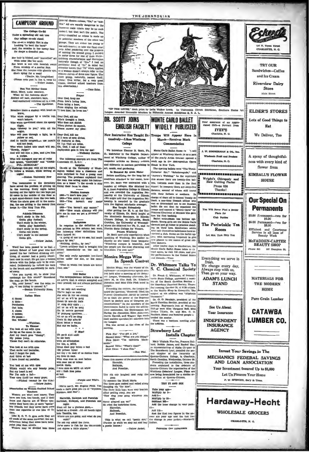### **CAMPUSIN' AROUND**

The College Co-Rd ading old oak tree Our college co-eds stand. Cur college co-cus stand.<br>Icolcing "to best the band"<br>And, the muscles in her tawny face<br>Do shape a dreadful pan.

Her hair is kinked, and "marcelled" so<br>With color like the sand. WHE COOR IRs the sand.<br>
Her brow is well with feverish sweat<br>
Prom wership of a mortal Pan fitter<br>
She's dying for a man!<br>
(Danis, Mr. Longfellow)<br>
(Please and

(Picase note pun in line 4, verse 2.)

Sun Tan Mother Geose<br>Mary, Mary, quite contrary,<br>What do the fashions show?<br>And sunburned vertebras all in a<br>And sunburned vertebras all in a<br>-The Spectoto

net there a student will<br>brave,<br>when stopped by a t<br>won't behave.

when questioned

flight, oey to you," with all hi -Pb

might.<br>will pass thro<br>yallow or red,

n traffic con and not head

Who when hailed into court will say, rdy, Judge!"<br>will tell him a joke, and give hiz

a nudge.<br>Who will disregard any set of rul<br>And ignore, "DANGER" and "CANGER" and "CANGER" FOL. SCHOOLS!" He mind once

--Bosion University New

Two roommakes in the domainer<br>have selected the problem of getting up<br>in the morning. Every night before turning out the lights the two boys put<br>50 cents in the middle of the floor at a spot equal-distant from the two bed<br>When the alarm goes off in the more 

Athletic Dilemma<br>Can't study in the fall,<br>Gootta play football;<br>Can't study in the winter,<br>Cotta play basketball;<br>Can't study in the spring,<br>Cotta run track;<br>Con't study in the summer<br>Con't study in the summer

### $-$ Vellow  $\overline{J}$

Word has been passed to us that a certain School of Law grad who had passed the har (without drinking any-<br>ting, of course) had a perty imper-<br>ting, of course) had a perty imper-<br>tant case in court. He ged into a heated o

|                  | <b>Italian</b> |
|------------------|----------------|
| A danca          |                |
| A data-          |                |
| <b>Perchanes</b> |                |
| Out lata:        |                |
| A classa         |                |
| A quizza;        |                |
|                  |                |

### ) passa....<br>ce Whissa! uce whisten:<br>Withitan.<br>Bu look at me with cyca As hig as the moon in ske,<br>And my heart goes "thump",<br>My pulses jump,<br>Cause they can't do otherwise.

You look at me with eyes<br>That smile und tantaliss,<br>And I forget the past,<br>And think at last I have found my paradise.

You look at me with eyes Nothicle would win any beauty printing that my heart is sed.<br>
Her T'm only a fail-<br>
Your eyes thrill too many guys;

-Fliched (except for the tide. -Yellow Jacket,

tation on Women Omitted Scho

The above and the mass of the matter of the control and the same and the same special control of the special state of the special state of the control of the prime in the control of the prime in the control of the special

time,<br>Like E. C. T. C. gym suits they are<br>all made of the same material: the only<br>all made of the same material: the only<br>paint jobs than others.<br>Women may be divided into three.

general classes-misses, "fits," or "misfits." All are equally dangerous to the norent male (there may be no as animal, but that isn't the point). The roup classified as misses is made up or potential numbers of the other two groups. They are either too young or groups. They are either too young or<br>stresses of the function of the function of the function of a step. After pometrics over the problem<br>of the manner than the step of the problem of the step of the step of<br>the problem o

-Teco Es

Prayer Frayer<br>Prom love's luring lane,<br>From love's luring lane,<br>From singing the refrain ve him; he loves me.

Dear Ood, aid n Who's thought a free<br>Who does not shriek<br>When phones do squee<br>Please answer my pl

r Ood, kill me If I rave of eyes diving the countries of final and maintain the countries of the countries of the countries of the countries of the countries of the countries of the countries of the countries of the countries of the coun

te gais in love for met  $-w$ der Bartes

The following excerpts are from The smecock (U. S. O.):

Surprise<br>Co-eds at the Univer Co-eds at the University<br>ington walked into a classroom and<br>were surprised to find a young man<br>were surprised to find a young that were surpresed to rind a young main<br>shaving. The professor explained that<br>the rann was acting under his instruc-<br>tion as a leasor \*? the co-eds to stop<br>fixing their faces in class.

Maiden Answers<br>1925–"I don't hove you."<br>1905–"You aren't my ideal."<br>1915–"You haven't any

tus."

1925-'You haven't any money.<br>1935-'How much allmony will ay will yo ive me in case we get a div

**Definitions** 

En response to the definition of a<br>kiss printed in this column has week,<br>the following other definitions have<br>been turned in:<br>"A thing of use to no one, but much

d by two." ng, divide... by two."<br>artillery that is brou "Noth "Notaing, aivided by two."<br>"Love's artillery that is brought into

The only really agreeable two-faced<br>action under the sun, or the moon

"That in which two heads are better  $than \alpha$ 

#### SHIP Baller

Stur metrics a kias<br>an article that is always accepted a<br>(im) printed, but not always publish

the wind of the state and the state<br>Theve lagt us tests and the state of the state and the state of<br> $\lambda$ il uv us will be gong<br>Down th saw-dat track<br> $\lambda^2$  iv us will be gong<br> $\lambda^2$  with go day state.<br> $\lambda^2$  iv us will be g fte.<br>. O' Mus?<br>b-it scat canle on po-is and<br>the ass born<br>with an affeckahun<br>for the, o, MUZ.<br>Ideas dont pop lawo s hed<br>(Sk priess: hyms)<br>but thy r th realt of us stenius fruc my fren th muz.<br>Won mus muz on muz before on mae use or misus<br>octik thots. parats thots.<br>I mus mus on MUZ uh while<br>ntil i frah thas pome<br>at lest.<br>—finiS— -Purple and White.

(We're sorry, Mr. Exgene Field. Yo<br>made a right good job 5-25 of "Wynker<br>Blynken, and Not".)

Harrelish, Kolleysh and Powellsh<br>Harrelish, Halleysh, and Powellsh on

narrows, rangyan, man rowennan om<br>hight<br>Nent off for a glorious skew-<br>Salled on a riversh ..ith all hands tight<br>Into Tamillia, too.<br>Where are you going, and what do you wish?"

wish?"<br>The old cop asked the three.<br>Ne've come to fish for the data<br>and abpree a little abpree."